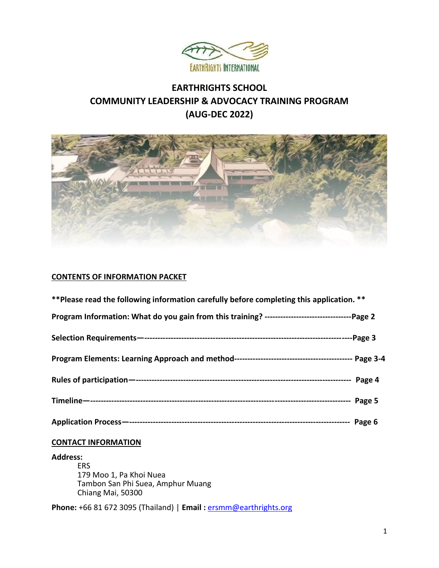

# **EARTHRIGHTS SCHOOL COMMUNITY LEADERSHIP & ADVOCACY TRAINING PROGRAM (AUG-DEC 2022)**



## **CONTENTS OF INFORMATION PACKET**

| ** Please read the following information carefully before completing this application. **           |  |
|-----------------------------------------------------------------------------------------------------|--|
| Program Information: What do you gain from this training? -----------------------------------Page 2 |  |
|                                                                                                     |  |
|                                                                                                     |  |
|                                                                                                     |  |
|                                                                                                     |  |
|                                                                                                     |  |

## **CONTACT INFORMATION**

#### **Address:**

ERS 179 Moo 1, Pa Khoi Nuea Tambon San Phi Suea, Amphur Muang Chiang Mai, 50300

**Phone:** +66 81 672 3095 (Thailand) | **Email :** [ersmm@earthrights.org](mailto:ersmm@earthrights.org)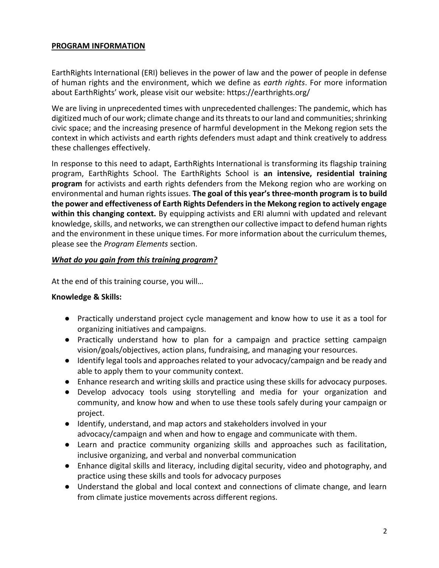## **PROGRAM INFORMATION**

EarthRights International (ERI) believes in the power of law and the power of people in defense of human rights and the environment, which we define as *earth rights*. For more information about EarthRights' work, please visit our website: https://earthrights.org/

We are living in unprecedented times with unprecedented challenges: The pandemic, which has digitized much of our work; climate change and its threats to our land and communities; shrinking civic space; and the increasing presence of harmful development in the Mekong region sets the context in which activists and earth rights defenders must adapt and think creatively to address these challenges effectively.

In response to this need to adapt, EarthRights International is transforming its flagship training program, EarthRights School. The EarthRights School is **an intensive, residential training program** for activists and earth rights defenders from the Mekong region who are working on environmental and human rights issues. **The goal of this year's three-month program is to build the power and effectiveness of Earth Rights Defenders in the Mekong region to actively engage within this changing context.** By equipping activists and ERI alumni with updated and relevant knowledge, skills, and networks, we can strengthen our collective impact to defend human rights and the environment in these unique times. For more information about the curriculum themes, please see the *Program Elements* section.

## *What do you gain from this training program?*

At the end of this training course, you will…

## **Knowledge & Skills:**

- Practically understand project cycle management and know how to use it as a tool for organizing initiatives and campaigns.
- Practically understand how to plan for a campaign and practice setting campaign vision/goals/objectives, action plans, fundraising, and managing your resources.
- Identify legal tools and approaches related to your advocacy/campaign and be ready and able to apply them to your community context.
- Enhance research and writing skills and practice using these skills for advocacy purposes.
- Develop advocacy tools using storytelling and media for your organization and community, and know how and when to use these tools safely during your campaign or project.
- Identify, understand, and map actors and stakeholders involved in your advocacy/campaign and when and how to engage and communicate with them.
- Learn and practice community organizing skills and approaches such as facilitation, inclusive organizing, and verbal and nonverbal communication
- Enhance digital skills and literacy, including digital security, video and photography, and practice using these skills and tools for advocacy purposes
- Understand the global and local context and connections of climate change, and learn from climate justice movements across different regions.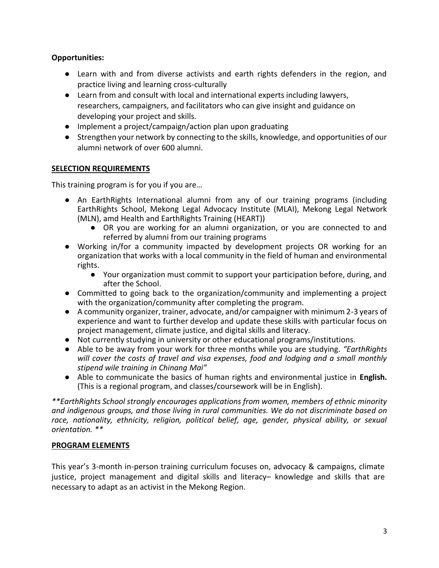## **Opportunities:**

- Learn with and from diverse activists and earth rights defenders in the region, and practice living and learning cross-culturally
- Learn from and consult with local and international experts including lawyers, researchers, campaigners, and facilitators who can give insight and guidance on developing your project and skills.
- Implement a project/campaign/action plan upon graduating
- Strengthen your network by connecting to the skills, knowledge, and opportunities of our alumni network of over 600 alumni.

## **SELECTION REQUIREMENTS**

This training program is for you if you are…

- An EarthRights International alumni from any of our training programs (including EarthRights School, Mekong Legal Advocacy Institute (MLAI), Mekong Legal Network (MLN), amd Health and EarthRights Training (HEART))
	- OR you are working for an alumni organization, or you are connected to and referred by alumni from our training programs
- Working in/for a community impacted by development projects OR working for an organization that works with a local community in the field of human and environmental rights.
	- Your organization must commit to support your participation before, during, and after the School.
- Committed to going back to the organization/community and implementing a project with the organization/community after completing the program.
- A community organizer, trainer, advocate, and/or campaigner with minimum 2-3 years of experience and want to further develop and update these skills with particular focus on project management, climate justice, and digital skills and literacy.
- Not currently studying in university or other educational programs/institutions.
- Able to be away from your work for three months while you are studying. *"EarthRights will cover the costs of travel and visa expenses, food and lodging and a small monthly stipend wile training in Chinang Mai"*
- Able to communicate the basics of human rights and environmental justice in **English.** (This is a regional program, and classes/coursework will be in English).

*\*\*EarthRights School strongly encourages applications from women, members of ethnic minority and indigenous groups, and those living in rural communities. We do not discriminate based on race, nationality, ethnicity, religion, political belief, age, gender, physical ability, or sexual orientation. \*\**

## **PROGRAM ELEMENTS**

This year's 3-month in-person training curriculum focuses on, advocacy & campaigns, climate justice, project management and digital skills and literacy– knowledge and skills that are necessary to adapt as an activist in the Mekong Region.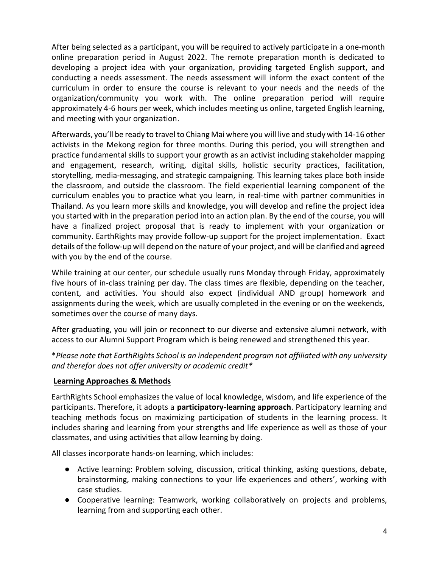After being selected as a participant, you will be required to actively participate in a one-month online preparation period in August 2022. The remote preparation month is dedicated to developing a project idea with your organization, providing targeted English support, and conducting a needs assessment. The needs assessment will inform the exact content of the curriculum in order to ensure the course is relevant to your needs and the needs of the organization/community you work with. The online preparation period will require approximately 4-6 hours per week, which includes meeting us online, targeted English learning, and meeting with your organization.

Afterwards, you'll be ready to travel to Chiang Mai where you will live and study with 14-16 other activists in the Mekong region for three months. During this period, you will strengthen and practice fundamental skills to support your growth as an activist including stakeholder mapping and engagement, research, writing, digital skills, holistic security practices, facilitation, storytelling, media-messaging, and strategic campaigning. This learning takes place both inside the classroom, and outside the classroom. The field experiential learning component of the curriculum enables you to practice what you learn, in real-time with partner communities in Thailand. As you learn more skills and knowledge, you will develop and refine the project idea you started with in the preparation period into an action plan. By the end of the course, you will have a finalized project proposal that is ready to implement with your organization or community. EarthRights may provide follow-up support for the project implementation. Exact details of the follow-up will depend on the nature of your project, and will be clarified and agreed with you by the end of the course.

While training at our center, our schedule usually runs Monday through Friday, approximately five hours of in-class training per day. The class times are flexible, depending on the teacher, content, and activities. You should also expect (individual AND group) homework and assignments during the week, which are usually completed in the evening or on the weekends, sometimes over the course of many days.

After graduating, you will join or reconnect to our diverse and extensive alumni network, with access to our Alumni Support Program which is being renewed and strengthened this year.

\**Please note that EarthRights School is an independent program not affiliated with any university and therefor does not offer university or academic credit\**

## **Learning Approaches & Methods**

EarthRights School emphasizes the value of local knowledge, wisdom, and life experience of the participants. Therefore, it adopts a **participatory-learning approach**. Participatory learning and teaching methods focus on maximizing participation of students in the learning process. It includes sharing and learning from your strengths and life experience as well as those of your classmates, and using activities that allow learning by doing.

All classes incorporate hands-on learning, which includes:

- Active learning: Problem solving, discussion, critical thinking, asking questions, debate, brainstorming, making connections to your life experiences and others', working with case studies.
- Cooperative learning: Teamwork, working collaboratively on projects and problems, learning from and supporting each other.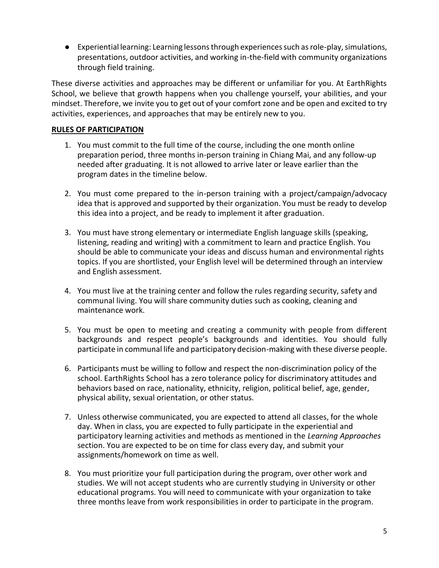● Experiential learning: Learning lessons through experiences such as role-play, simulations, presentations, outdoor activities, and working in-the-field with community organizations through field training.

These diverse activities and approaches may be different or unfamiliar for you. At EarthRights School, we believe that growth happens when you challenge yourself, your abilities, and your mindset. Therefore, we invite you to get out of your comfort zone and be open and excited to try activities, experiences, and approaches that may be entirely new to you.

## **RULES OF PARTICIPATION**

- 1. You must commit to the full time of the course, including the one month online preparation period, three months in-person training in Chiang Mai, and any follow-up needed after graduating. It is not allowed to arrive later or leave earlier than the program dates in the timeline below.
- 2. You must come prepared to the in-person training with a project/campaign/advocacy idea that is approved and supported by their organization. You must be ready to develop this idea into a project, and be ready to implement it after graduation.
- 3. You must have strong elementary or intermediate English language skills (speaking, listening, reading and writing) with a commitment to learn and practice English. You should be able to communicate your ideas and discuss human and environmental rights topics. If you are shortlisted, your English level will be determined through an interview and English assessment.
- 4. You must live at the training center and follow the rules regarding security, safety and communal living. You will share community duties such as cooking, cleaning and maintenance work.
- 5. You must be open to meeting and creating a community with people from different backgrounds and respect people's backgrounds and identities. You should fully participate in communal life and participatory decision-making with these diverse people.
- 6. Participants must be willing to follow and respect the non-discrimination policy of the school. EarthRights School has a zero tolerance policy for discriminatory attitudes and behaviors based on race, nationality, ethnicity, religion, political belief, age, gender, physical ability, sexual orientation, or other status.
- 7. Unless otherwise communicated, you are expected to attend all classes, for the whole day. When in class, you are expected to fully participate in the experiential and participatory learning activities and methods as mentioned in the *Learning Approaches* section. You are expected to be on time for class every day, and submit your assignments/homework on time as well.
- 8. You must prioritize your full participation during the program, over other work and studies. We will not accept students who are currently studying in University or other educational programs. You will need to communicate with your organization to take three months leave from work responsibilities in order to participate in the program.